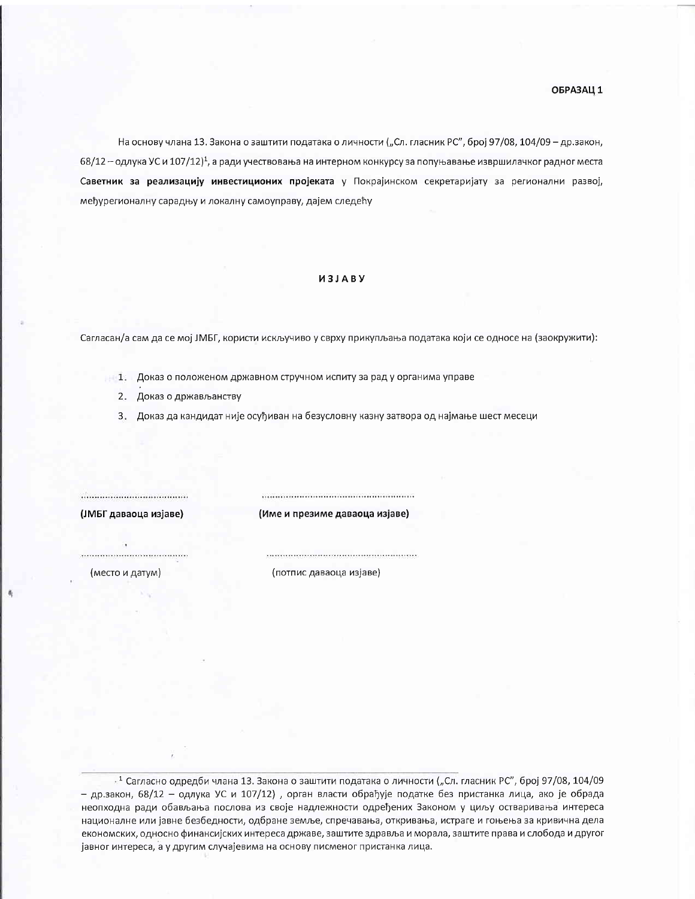На основу члана 13. Закона о заштити података о личности ("Сл. гласник РС", број 97/08, 104/09 - др.закон, 68/12 - одлука УС и 107/12)<sup>1</sup>, а ради учествовања на интерном конкурсу за попуњавање извршилачког радног места Саветник за реализацију инвестиционих пројеката у Покрајинском секретаријату за регионални развој, међурегионалну сарадњу и локалну самоуправу, дајем следећу

## *U3JABY*

Сагласан/а сам да се мој ЈМБГ, користи искључиво у сврху прикупљања података који се односе на (заокружити):

- 1. Доказ о положеном државном стручном испиту за рад у органима управе
	- 2. Доказ о држављанству
	- 3. Доказ да кандидат није осуђиван на безусловну казну затвора од најмање шест месеци

...................................... (ЈМБГ даваоца изјаве)

(Име и презиме даваоца изјаве)

(место и датум)

(потпис даваоца изјаве)

 $\cdot$ <sup>1</sup> Сагласно одредби члана 13. Закона о заштити података о личности ("Сл. гласник РС", број 97/08, 104/09 - др.закон, 68/12 - одлука УС и 107/12) , орган власти обрађује податке без пристанка лица, ако је обрада неопходна ради обављања послова из своје надлежности одређених Законом у циљу остваривања интереса националне или јавне безбедности, одбране земље, спречавања, откривања, истраге и гоњења за кривична дела економских, односно финансијских интереса државе, заштите здравља и морала, заштите права и слобода и другог јавног интереса, а у другим случајевима на основу писменог пристанка лица.